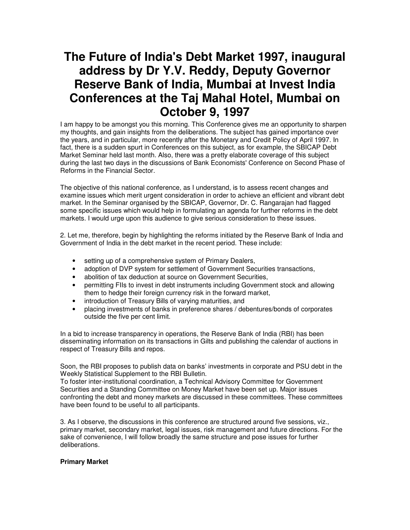# **The Future of India's Debt Market 1997, inaugural address by Dr Y.V. Reddy, Deputy Governor Reserve Bank of India, Mumbai at Invest India Conferences at the Taj Mahal Hotel, Mumbai on October 9, 1997**

I am happy to be amongst you this morning. This Conference gives me an opportunity to sharpen my thoughts, and gain insights from the deliberations. The subject has gained importance over the years, and in particular, more recently after the Monetary and Credit Policy of April 1997. In fact, there is a sudden spurt in Conferences on this subject, as for example, the SBICAP Debt Market Seminar held last month. Also, there was a pretty elaborate coverage of this subject during the last two days in the discussions of Bank Economists' Conference on Second Phase of Reforms in the Financial Sector.

The objective of this national conference, as I understand, is to assess recent changes and examine issues which merit urgent consideration in order to achieve an efficient and vibrant debt market. In the Seminar organised by the SBICAP, Governor, Dr. C. Rangarajan had flagged some specific issues which would help in formulating an agenda for further reforms in the debt markets. I would urge upon this audience to give serious consideration to these issues.

2. Let me, therefore, begin by highlighting the reforms initiated by the Reserve Bank of India and Government of India in the debt market in the recent period. These include:

- setting up of a comprehensive system of Primary Dealers,
- adoption of DVP system for settlement of Government Securities transactions,
- abolition of tax deduction at source on Government Securities,
- permitting FIIs to invest in debt instruments including Government stock and allowing them to hedge their foreign currency risk in the forward market,
- introduction of Treasury Bills of varying maturities, and
- placing investments of banks in preference shares / debentures/bonds of corporates outside the five per cent limit.

In a bid to increase transparency in operations, the Reserve Bank of India (RBI) has been disseminating information on its transactions in Gilts and publishing the calendar of auctions in respect of Treasury Bills and repos.

Soon, the RBI proposes to publish data on banks' investments in corporate and PSU debt in the Weekly Statistical Supplement to the RBI Bulletin.

To foster inter-institutional coordination, a Technical Advisory Committee for Government Securities and a Standing Committee on Money Market have been set up. Major issues confronting the debt and money markets are discussed in these committees. These committees have been found to be useful to all participants.

3. As I observe, the discussions in this conference are structured around five sessions, viz., primary market, secondary market, legal issues, risk management and future directions. For the sake of convenience, I will follow broadly the same structure and pose issues for further deliberations.

# **Primary Market**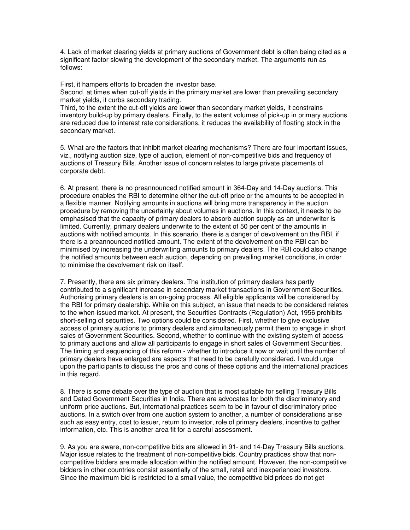4. Lack of market clearing yields at primary auctions of Government debt is often being cited as a significant factor slowing the development of the secondary market. The arguments run as follows:

First, it hampers efforts to broaden the investor base.

Second, at times when cut-off yields in the primary market are lower than prevailing secondary market yields, it curbs secondary trading.

Third, to the extent the cut-off yields are lower than secondary market yields, it constrains inventory build-up by primary dealers. Finally, to the extent volumes of pick-up in primary auctions are reduced due to interest rate considerations, it reduces the availability of floating stock in the secondary market.

5. What are the factors that inhibit market clearing mechanisms? There are four important issues, viz., notifying auction size, type of auction, element of non-competitive bids and frequency of auctions of Treasury Bills. Another issue of concern relates to large private placements of corporate debt.

6. At present, there is no preannounced notified amount in 364-Day and 14-Day auctions. This procedure enables the RBI to determine either the cut-off price or the amounts to be accepted in a flexible manner. Notifying amounts in auctions will bring more transparency in the auction procedure by removing the uncertainty about volumes in auctions. In this context, it needs to be emphasised that the capacity of primary dealers to absorb auction supply as an underwriter is limited. Currently, primary dealers underwrite to the extent of 50 per cent of the amounts in auctions with notified amounts. In this scenario, there is a danger of devolvement on the RBI, if there is a preannounced notified amount. The extent of the devolvement on the RBI can be minimised by increasing the underwriting amounts to primary dealers. The RBI could also change the notified amounts between each auction, depending on prevailing market conditions, in order to minimise the devolvement risk on itself.

7. Presently, there are six primary dealers. The institution of primary dealers has partly contributed to a significant increase in secondary market transactions in Government Securities. Authorising primary dealers is an on-going process. All eligible applicants will be considered by the RBI for primary dealership. While on this subject, an issue that needs to be considered relates to the when-issued market. At present, the Securities Contracts (Regulation) Act, 1956 prohibits short-selling of securities. Two options could be considered. First, whether to give exclusive access of primary auctions to primary dealers and simultaneously permit them to engage in short sales of Government Securities. Second, whether to continue with the existing system of access to primary auctions and allow all participants to engage in short sales of Government Securities. The timing and sequencing of this reform - whether to introduce it now or wait until the number of primary dealers have enlarged are aspects that need to be carefully considered. I would urge upon the participants to discuss the pros and cons of these options and the international practices in this regard.

8. There is some debate over the type of auction that is most suitable for selling Treasury Bills and Dated Government Securities in India. There are advocates for both the discriminatory and uniform price auctions. But, international practices seem to be in favour of discriminatory price auctions. In a switch over from one auction system to another, a number of considerations arise such as easy entry, cost to issuer, return to investor, role of primary dealers, incentive to gather information, etc. This is another area fit for a careful assessment.

9. As you are aware, non-competitive bids are allowed in 91- and 14-Day Treasury Bills auctions. Major issue relates to the treatment of non-competitive bids. Country practices show that noncompetitive bidders are made allocation within the notified amount. However, the non-competitive bidders in other countries consist essentially of the small, retail and inexperienced investors. Since the maximum bid is restricted to a small value, the competitive bid prices do not get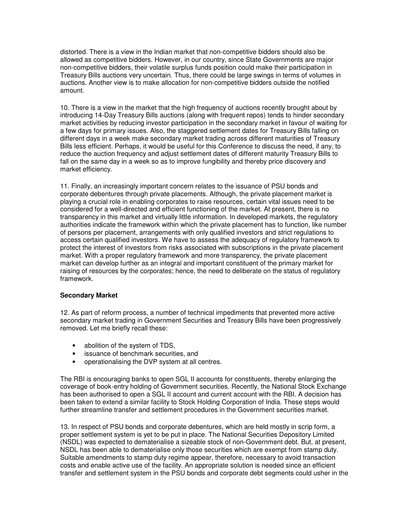distorted. There is a view in the Indian market that non-competitive bidders should also be allowed as competitive bidders. However, in our country, since State Governments are major non-competitive bidders, their volatile surplus funds position could make their participation in Treasury Bills auctions very uncertain. Thus, there could be large swings in terms of volumes in auctions. Another view is to make allocation for non-competitive bidders outside the notified amount.

10. There is a view in the market that the high frequency of auctions recently brought about by introducing 14-Day Treasury Bills auctions (along with frequent repos) tends to hinder secondary market activities by reducing investor participation in the secondary market in favour of waiting for a few days for primary issues. Also, the staggered settlement dates for Treasury Bills falling on different days in a week make secondary market trading across different maturities of Treasury Bills less efficient. Perhaps, it would be useful for this Conference to discuss the need, if any, to reduce the auction frequency and adjust settlement dates of different maturity Treasury Bills to fall on the same day in a week so as to improve fungibility and thereby price discovery and market efficiency.

11. Finally, an increasingly important concern relates to the issuance of PSU bonds and corporate debentures through private placements. Although, the private placement market is playing a crucial role in enabling corporates to raise resources, certain vital issues need to be considered for a well-directed and efficient functioning of the market. At present, there is no transparency in this market and virtually little information. In developed markets, the regulatory authorities indicate the framework within which the private placement has to function, like number of persons per placement, arrangements with only qualified investors and strict regulations to access certain qualified investors. We have to assess the adequacy of regulatory framework to protect the interest of investors from risks associated with subscriptions in the private placement market. With a proper regulatory framework and more transparency, the private placement market can develop further as an integral and important constituent of the primary market for raising of resources by the corporates; hence, the need to deliberate on the status of regulatory framework.

#### **Secondary Market**

12. As part of reform process, a number of technical impediments that prevented more active secondary market trading in Government Securities and Treasury Bills have been progressively removed. Let me briefly recall these:

- abolition of the system of TDS,
- issuance of benchmark securities, and
- operationalising the DVP system at all centres.

The RBI is encouraging banks to open SGL II accounts for constituents, thereby enlarging the coverage of book-entry holding of Government securities. Recently, the National Stock Exchange has been authorised to open a SGL II account and current account with the RBI. A decision has been taken to extend a similar facility to Stock Holding Corporation of India. These steps would further streamline transfer and settlement procedures in the Government securities market.

13. In respect of PSU bonds and corporate debentures, which are held mostly in scrip form, a proper settlement system is yet to be put in place. The National Securities Depository Limited (NSDL) was expected to dematerialise a sizeable stock of non-Government debt. But, at present, NSDL has been able to dematerialise only those securities which are exempt from stamp duty. Suitable amendments to stamp duty regime appear, therefore, necessary to avoid transaction costs and enable active use of the facility. An appropriate solution is needed since an efficient transfer and settlement system in the PSU bonds and corporate debt segments could usher in the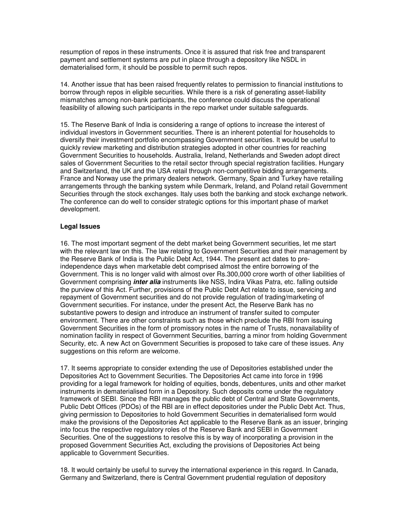resumption of repos in these instruments. Once it is assured that risk free and transparent payment and settlement systems are put in place through a depository like NSDL in dematerialised form, it should be possible to permit such repos.

14. Another issue that has been raised frequently relates to permission to financial institutions to borrow through repos in eligible securities. While there is a risk of generating asset-liability mismatches among non-bank participants, the conference could discuss the operational feasibility of allowing such participants in the repo market under suitable safeguards.

15. The Reserve Bank of India is considering a range of options to increase the interest of individual investors in Government securities. There is an inherent potential for households to diversify their investment portfolio encompassing Government securities. It would be useful to quickly review marketing and distribution strategies adopted in other countries for reaching Government Securities to households. Australia, Ireland, Netherlands and Sweden adopt direct sales of Government Securities to the retail sector through special registration facilities. Hungary and Switzerland, the UK and the USA retail through non-competitive bidding arrangements. France and Norway use the primary dealers network. Germany, Spain and Turkey have retailing arrangements through the banking system while Denmark, Ireland, and Poland retail Government Securities through the stock exchanges. Italy uses both the banking and stock exchange network. The conference can do well to consider strategic options for this important phase of market development.

### **Legal Issues**

16. The most important segment of the debt market being Government securities, let me start with the relevant law on this. The law relating to Government Securities and their management by the Reserve Bank of India is the Public Debt Act, 1944. The present act dates to preindependence days when marketable debt comprised almost the entire borrowing of the Government. This is no longer valid with almost over Rs.300,000 crore worth of other liabilities of Government comprising **inter alia** instruments like NSS, Indira Vikas Patra, etc. falling outside the purview of this Act. Further, provisions of the Public Debt Act relate to issue, servicing and repayment of Government securities and do not provide regulation of trading/marketing of Government securities. For instance, under the present Act, the Reserve Bank has no substantive powers to design and introduce an instrument of transfer suited to computer environment. There are other constraints such as those which preclude the RBI from issuing Government Securities in the form of promissory notes in the name of Trusts, nonavailability of nomination facility in respect of Government Securities, barring a minor from holding Government Security, etc. A new Act on Government Securities is proposed to take care of these issues. Any suggestions on this reform are welcome.

17. It seems appropriate to consider extending the use of Depositories established under the Depositories Act to Government Securities. The Depositories Act came into force in 1996 providing for a legal framework for holding of equities, bonds, debentures, units and other market instruments in dematerialised form in a Depository. Such deposits come under the regulatory framework of SEBI. Since the RBI manages the public debt of Central and State Governments, Public Debt Offices (PDOs) of the RBI are in effect depositories under the Public Debt Act. Thus, giving permission to Depositories to hold Government Securities in dematerialised form would make the provisions of the Depositories Act applicable to the Reserve Bank as an issuer, bringing into focus the respective regulatory roles of the Reserve Bank and SEBI in Government Securities. One of the suggestions to resolve this is by way of incorporating a provision in the proposed Government Securities Act, excluding the provisions of Depositories Act being applicable to Government Securities.

18. It would certainly be useful to survey the international experience in this regard. In Canada, Germany and Switzerland, there is Central Government prudential regulation of depository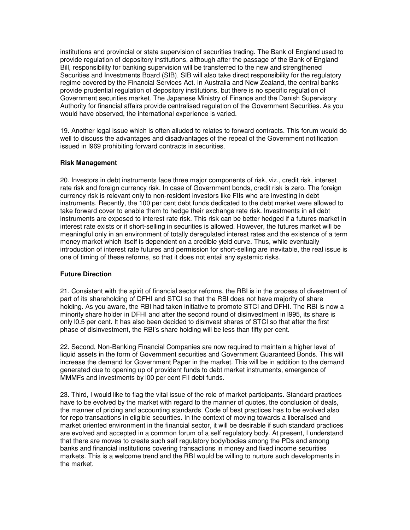institutions and provincial or state supervision of securities trading. The Bank of England used to provide regulation of depository institutions, although after the passage of the Bank of England Bill, responsibility for banking supervision will be transferred to the new and strengthened Securities and Investments Board (SIB). SIB will also take direct responsibility for the regulatory regime covered by the Financial Services Act. In Australia and New Zealand, the central banks provide prudential regulation of depository institutions, but there is no specific regulation of Government securities market. The Japanese Ministry of Finance and the Danish Supervisory Authority for financial affairs provide centralised regulation of the Government Securities. As you would have observed, the international experience is varied.

19. Another legal issue which is often alluded to relates to forward contracts. This forum would do well to discuss the advantages and disadvantages of the repeal of the Government notification issued in l969 prohibiting forward contracts in securities.

### **Risk Management**

20. Investors in debt instruments face three major components of risk, viz., credit risk, interest rate risk and foreign currency risk. In case of Government bonds, credit risk is zero. The foreign currency risk is relevant only to non-resident investors like FIIs who are investing in debt instruments. Recently, the 100 per cent debt funds dedicated to the debt market were allowed to take forward cover to enable them to hedge their exchange rate risk. Investments in all debt instruments are exposed to interest rate risk. This risk can be better hedged if a futures market in interest rate exists or if short-selling in securities is allowed. However, the futures market will be meaningful only in an environment of totally deregulated interest rates and the existence of a term money market which itself is dependent on a credible yield curve. Thus, while eventually introduction of interest rate futures and permission for short-selling are inevitable, the real issue is one of timing of these reforms, so that it does not entail any systemic risks.

# **Future Direction**

21. Consistent with the spirit of financial sector reforms, the RBI is in the process of divestment of part of its shareholding of DFHI and STCI so that the RBI does not have majority of share holding. As you aware, the RBI had taken initiative to promote STCI and DFHI. The RBI is now a minority share holder in DFHI and after the second round of disinvestment in l995, its share is only l0.5 per cent. It has also been decided to disinvest shares of STCI so that after the first phase of disinvestment, the RBI's share holding will be less than fifty per cent.

22. Second, Non-Banking Financial Companies are now required to maintain a higher level of liquid assets in the form of Government securities and Government Guaranteed Bonds. This will increase the demand for Government Paper in the market. This will be in addition to the demand generated due to opening up of provident funds to debt market instruments, emergence of MMMFs and investments by l00 per cent FII debt funds.

23. Third, I would like to flag the vital issue of the role of market participants. Standard practices have to be evolved by the market with regard to the manner of quotes, the conclusion of deals, the manner of pricing and accounting standards. Code of best practices has to be evolved also for repo transactions in eligible securities. In the context of moving towards a liberalised and market oriented environment in the financial sector, it will be desirable if such standard practices are evolved and accepted in a common forum of a self regulatory body. At present, I understand that there are moves to create such self regulatory body/bodies among the PDs and among banks and financial institutions covering transactions in money and fixed income securities markets. This is a welcome trend and the RBI would be willing to nurture such developments in the market.